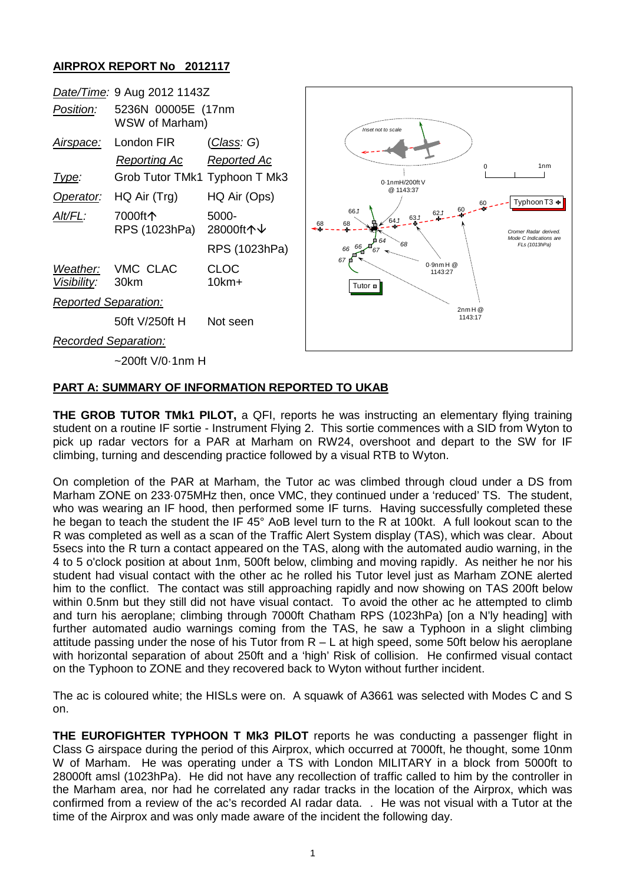## **AIRPROX REPORT No 2012117**



### **PART A: SUMMARY OF INFORMATION REPORTED TO UKAB**

**THE GROB TUTOR TMk1 PILOT,** a QFI, reports he was instructing an elementary flying training student on a routine IF sortie - Instrument Flying 2. This sortie commences with a SID from Wyton to pick up radar vectors for a PAR at Marham on RW24, overshoot and depart to the SW for IF climbing, turning and descending practice followed by a visual RTB to Wyton.

On completion of the PAR at Marham, the Tutor ac was climbed through cloud under a DS from Marham ZONE on 233·075MHz then, once VMC, they continued under a 'reduced' TS. The student, who was wearing an IF hood, then performed some IF turns. Having successfully completed these he began to teach the student the IF 45° AoB level turn to the R at 100kt. A full lookout scan to the R was completed as well as a scan of the Traffic Alert System display (TAS), which was clear. About 5secs into the R turn a contact appeared on the TAS, along with the automated audio warning, in the 4 to 5 o'clock position at about 1nm, 500ft below, climbing and moving rapidly. As neither he nor his student had visual contact with the other ac he rolled his Tutor level just as Marham ZONE alerted him to the conflict. The contact was still approaching rapidly and now showing on TAS 200ft below within 0.5nm but they still did not have visual contact. To avoid the other ac he attempted to climb and turn his aeroplane; climbing through 7000ft Chatham RPS (1023hPa) [on a N'ly heading] with further automated audio warnings coming from the TAS, he saw a Typhoon in a slight climbing attitude passing under the nose of his Tutor from R – L at high speed, some 50ft below his aeroplane with horizontal separation of about 250ft and a 'high' Risk of collision. He confirmed visual contact on the Typhoon to ZONE and they recovered back to Wyton without further incident.

The ac is coloured white; the HISLs were on. A squawk of A3661 was selected with Modes C and S on.

**THE EUROFIGHTER TYPHOON T Mk3 PILOT** reports he was conducting a passenger flight in Class G airspace during the period of this Airprox, which occurred at 7000ft, he thought, some 10nm W of Marham. He was operating under a TS with London MILITARY in a block from 5000ft to 28000ft amsl (1023hPa). He did not have any recollection of traffic called to him by the controller in the Marham area, nor had he correlated any radar tracks in the location of the Airprox, which was confirmed from a review of the ac's recorded AI radar data. . He was not visual with a Tutor at the time of the Airprox and was only made aware of the incident the following day.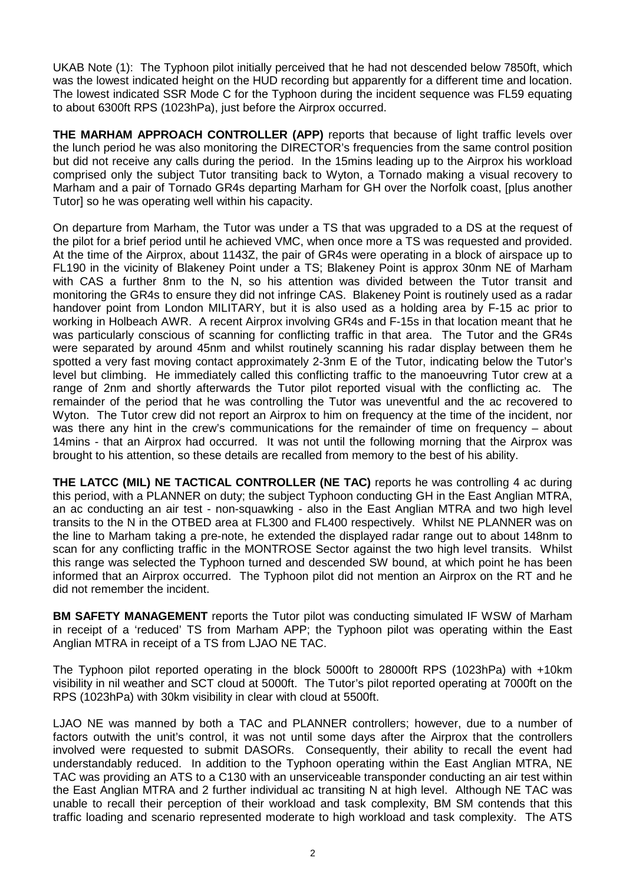UKAB Note (1): The Typhoon pilot initially perceived that he had not descended below 7850ft, which was the lowest indicated height on the HUD recording but apparently for a different time and location. The lowest indicated SSR Mode C for the Typhoon during the incident sequence was FL59 equating to about 6300ft RPS (1023hPa), just before the Airprox occurred.

**THE MARHAM APPROACH CONTROLLER (APP)** reports that because of light traffic levels over the lunch period he was also monitoring the DIRECTOR's frequencies from the same control position but did not receive any calls during the period. In the 15mins leading up to the Airprox his workload comprised only the subject Tutor transiting back to Wyton, a Tornado making a visual recovery to Marham and a pair of Tornado GR4s departing Marham for GH over the Norfolk coast, [plus another Tutor] so he was operating well within his capacity.

On departure from Marham, the Tutor was under a TS that was upgraded to a DS at the request of the pilot for a brief period until he achieved VMC, when once more a TS was requested and provided. At the time of the Airprox, about 1143Z, the pair of GR4s were operating in a block of airspace up to FL190 in the vicinity of Blakeney Point under a TS; Blakeney Point is approx 30nm NE of Marham with CAS a further 8nm to the N, so his attention was divided between the Tutor transit and monitoring the GR4s to ensure they did not infringe CAS. Blakeney Point is routinely used as a radar handover point from London MILITARY, but it is also used as a holding area by F-15 ac prior to working in Holbeach AWR. A recent Airprox involving GR4s and F-15s in that location meant that he was particularly conscious of scanning for conflicting traffic in that area. The Tutor and the GR4s were separated by around 45nm and whilst routinely scanning his radar display between them he spotted a very fast moving contact approximately 2-3nm E of the Tutor, indicating below the Tutor's level but climbing. He immediately called this conflicting traffic to the manoeuvring Tutor crew at a range of 2nm and shortly afterwards the Tutor pilot reported visual with the conflicting ac. The remainder of the period that he was controlling the Tutor was uneventful and the ac recovered to Wyton. The Tutor crew did not report an Airprox to him on frequency at the time of the incident, nor was there any hint in the crew's communications for the remainder of time on frequency – about 14mins - that an Airprox had occurred. It was not until the following morning that the Airprox was brought to his attention, so these details are recalled from memory to the best of his ability.

**THE LATCC (MIL) NE TACTICAL CONTROLLER (NE TAC)** reports he was controlling 4 ac during this period, with a PLANNER on duty; the subject Typhoon conducting GH in the East Anglian MTRA, an ac conducting an air test - non-squawking - also in the East Anglian MTRA and two high level transits to the N in the OTBED area at FL300 and FL400 respectively. Whilst NE PLANNER was on the line to Marham taking a pre-note, he extended the displayed radar range out to about 148nm to scan for any conflicting traffic in the MONTROSE Sector against the two high level transits. Whilst this range was selected the Typhoon turned and descended SW bound, at which point he has been informed that an Airprox occurred. The Typhoon pilot did not mention an Airprox on the RT and he did not remember the incident.

**BM SAFETY MANAGEMENT** reports the Tutor pilot was conducting simulated IF WSW of Marham in receipt of a 'reduced' TS from Marham APP; the Typhoon pilot was operating within the East Anglian MTRA in receipt of a TS from LJAO NE TAC.

The Typhoon pilot reported operating in the block 5000ft to 28000ft RPS (1023hPa) with +10km visibility in nil weather and SCT cloud at 5000ft. The Tutor's pilot reported operating at 7000ft on the RPS (1023hPa) with 30km visibility in clear with cloud at 5500ft.

LJAO NE was manned by both a TAC and PLANNER controllers; however, due to a number of factors outwith the unit's control, it was not until some days after the Airprox that the controllers involved were requested to submit DASORs. Consequently, their ability to recall the event had understandably reduced. In addition to the Typhoon operating within the East Anglian MTRA, NE TAC was providing an ATS to a C130 with an unserviceable transponder conducting an air test within the East Anglian MTRA and 2 further individual ac transiting N at high level. Although NE TAC was unable to recall their perception of their workload and task complexity, BM SM contends that this traffic loading and scenario represented moderate to high workload and task complexity. The ATS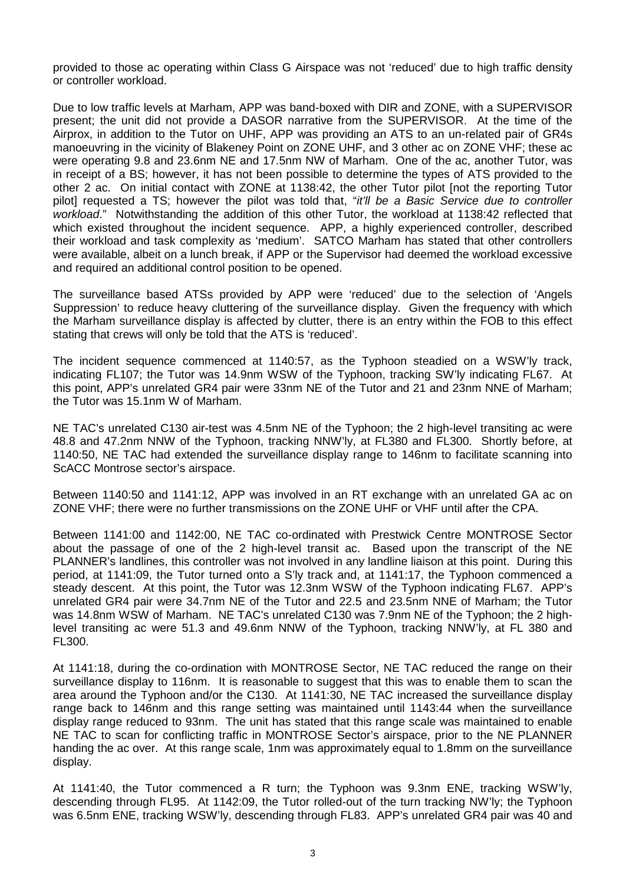provided to those ac operating within Class G Airspace was not 'reduced' due to high traffic density or controller workload.

Due to low traffic levels at Marham, APP was band-boxed with DIR and ZONE, with a SUPERVISOR present; the unit did not provide a DASOR narrative from the SUPERVISOR. At the time of the Airprox, in addition to the Tutor on UHF, APP was providing an ATS to an un-related pair of GR4s manoeuvring in the vicinity of Blakeney Point on ZONE UHF, and 3 other ac on ZONE VHF; these ac were operating 9.8 and 23.6nm NE and 17.5nm NW of Marham. One of the ac, another Tutor, was in receipt of a BS; however, it has not been possible to determine the types of ATS provided to the other 2 ac. On initial contact with ZONE at 1138:42, the other Tutor pilot [not the reporting Tutor pilot] requested a TS; however the pilot was told that, "*it'll be a Basic Service due to controller workload*." Notwithstanding the addition of this other Tutor, the workload at 1138:42 reflected that which existed throughout the incident sequence. APP, a highly experienced controller, described their workload and task complexity as 'medium'. SATCO Marham has stated that other controllers were available, albeit on a lunch break, if APP or the Supervisor had deemed the workload excessive and required an additional control position to be opened.

The surveillance based ATSs provided by APP were 'reduced' due to the selection of 'Angels Suppression' to reduce heavy cluttering of the surveillance display. Given the frequency with which the Marham surveillance display is affected by clutter, there is an entry within the FOB to this effect stating that crews will only be told that the ATS is 'reduced'.

The incident sequence commenced at 1140:57, as the Typhoon steadied on a WSW'ly track, indicating FL107; the Tutor was 14.9nm WSW of the Typhoon, tracking SW'ly indicating FL67. At this point, APP's unrelated GR4 pair were 33nm NE of the Tutor and 21 and 23nm NNE of Marham; the Tutor was 15.1nm W of Marham.

NE TAC's unrelated C130 air-test was 4.5nm NE of the Typhoon; the 2 high-level transiting ac were 48.8 and 47.2nm NNW of the Typhoon, tracking NNW'ly, at FL380 and FL300. Shortly before, at 1140:50, NE TAC had extended the surveillance display range to 146nm to facilitate scanning into ScACC Montrose sector's airspace.

Between 1140:50 and 1141:12, APP was involved in an RT exchange with an unrelated GA ac on ZONE VHF; there were no further transmissions on the ZONE UHF or VHF until after the CPA.

Between 1141:00 and 1142:00, NE TAC co-ordinated with Prestwick Centre MONTROSE Sector about the passage of one of the 2 high-level transit ac. Based upon the transcript of the NE PLANNER's landlines, this controller was not involved in any landline liaison at this point. During this period, at 1141:09, the Tutor turned onto a S'ly track and, at 1141:17, the Typhoon commenced a steady descent. At this point, the Tutor was 12.3nm WSW of the Typhoon indicating FL67. APP's unrelated GR4 pair were 34.7nm NE of the Tutor and 22.5 and 23.5nm NNE of Marham; the Tutor was 14.8nm WSW of Marham. NE TAC's unrelated C130 was 7.9nm NE of the Typhoon; the 2 highlevel transiting ac were 51.3 and 49.6nm NNW of the Typhoon, tracking NNW'ly, at FL 380 and FL300.

At 1141:18, during the co-ordination with MONTROSE Sector, NE TAC reduced the range on their surveillance display to 116nm. It is reasonable to suggest that this was to enable them to scan the area around the Typhoon and/or the C130. At 1141:30, NE TAC increased the surveillance display range back to 146nm and this range setting was maintained until 1143:44 when the surveillance display range reduced to 93nm. The unit has stated that this range scale was maintained to enable NE TAC to scan for conflicting traffic in MONTROSE Sector's airspace, prior to the NE PLANNER handing the ac over. At this range scale, 1nm was approximately equal to 1.8mm on the surveillance display.

At 1141:40, the Tutor commenced a R turn; the Typhoon was 9.3nm ENE, tracking WSW'ly, descending through FL95. At 1142:09, the Tutor rolled-out of the turn tracking NW'ly; the Typhoon was 6.5nm ENE, tracking WSW'ly, descending through FL83. APP's unrelated GR4 pair was 40 and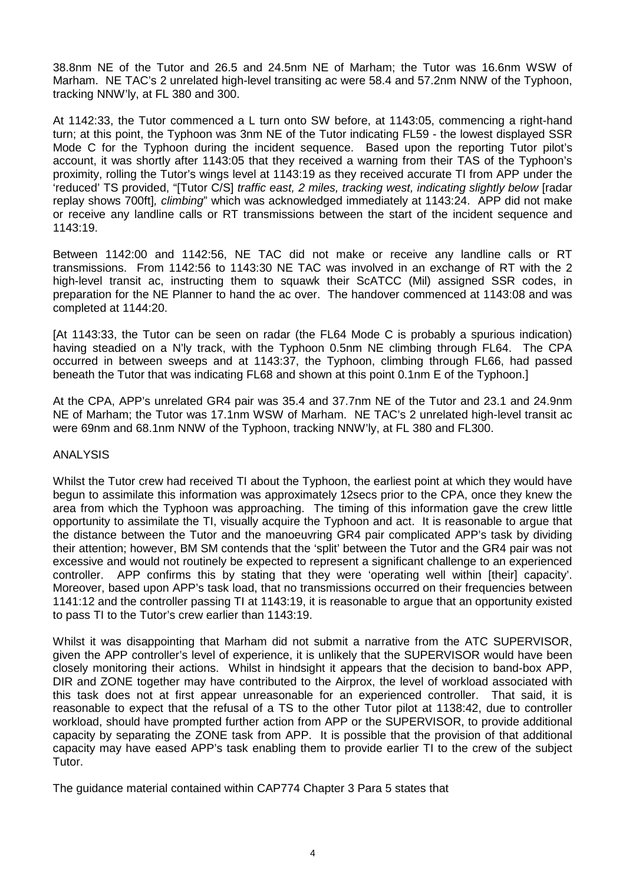38.8nm NE of the Tutor and 26.5 and 24.5nm NE of Marham; the Tutor was 16.6nm WSW of Marham. NE TAC's 2 unrelated high-level transiting ac were 58.4 and 57.2nm NNW of the Typhoon, tracking NNW'ly, at FL 380 and 300.

At 1142:33, the Tutor commenced a L turn onto SW before, at 1143:05, commencing a right-hand turn; at this point, the Typhoon was 3nm NE of the Tutor indicating FL59 - the lowest displayed SSR Mode C for the Typhoon during the incident sequence. Based upon the reporting Tutor pilot's account, it was shortly after 1143:05 that they received a warning from their TAS of the Typhoon's proximity, rolling the Tutor's wings level at 1143:19 as they received accurate TI from APP under the 'reduced' TS provided, "[Tutor C/S] *traffic east, 2 miles, tracking west, indicating slightly below* [radar replay shows 700ft]*, climbing*" which was acknowledged immediately at 1143:24. APP did not make or receive any landline calls or RT transmissions between the start of the incident sequence and 1143:19.

Between 1142:00 and 1142:56, NE TAC did not make or receive any landline calls or RT transmissions. From 1142:56 to 1143:30 NE TAC was involved in an exchange of RT with the 2 high-level transit ac, instructing them to squawk their ScATCC (Mil) assigned SSR codes, in preparation for the NE Planner to hand the ac over. The handover commenced at 1143:08 and was completed at 1144:20.

[At 1143:33, the Tutor can be seen on radar (the FL64 Mode C is probably a spurious indication) having steadied on a N'ly track, with the Typhoon 0.5nm NE climbing through FL64. The CPA occurred in between sweeps and at 1143:37, the Typhoon, climbing through FL66, had passed beneath the Tutor that was indicating FL68 and shown at this point 0.1nm E of the Typhoon.]

At the CPA, APP's unrelated GR4 pair was 35.4 and 37.7nm NE of the Tutor and 23.1 and 24.9nm NE of Marham; the Tutor was 17.1nm WSW of Marham. NE TAC's 2 unrelated high-level transit ac were 69nm and 68.1nm NNW of the Typhoon, tracking NNW'ly, at FL 380 and FL300.

### ANALYSIS

Whilst the Tutor crew had received TI about the Typhoon, the earliest point at which they would have begun to assimilate this information was approximately 12secs prior to the CPA, once they knew the area from which the Typhoon was approaching. The timing of this information gave the crew little opportunity to assimilate the TI, visually acquire the Typhoon and act. It is reasonable to argue that the distance between the Tutor and the manoeuvring GR4 pair complicated APP's task by dividing their attention; however, BM SM contends that the 'split' between the Tutor and the GR4 pair was not excessive and would not routinely be expected to represent a significant challenge to an experienced controller. APP confirms this by stating that they were 'operating well within [their] capacity'. Moreover, based upon APP's task load, that no transmissions occurred on their frequencies between 1141:12 and the controller passing TI at 1143:19, it is reasonable to argue that an opportunity existed to pass TI to the Tutor's crew earlier than 1143:19.

Whilst it was disappointing that Marham did not submit a narrative from the ATC SUPERVISOR, given the APP controller's level of experience, it is unlikely that the SUPERVISOR would have been closely monitoring their actions. Whilst in hindsight it appears that the decision to band-box APP, DIR and ZONE together may have contributed to the Airprox, the level of workload associated with this task does not at first appear unreasonable for an experienced controller. That said, it is reasonable to expect that the refusal of a TS to the other Tutor pilot at 1138:42, due to controller workload, should have prompted further action from APP or the SUPERVISOR, to provide additional capacity by separating the ZONE task from APP. It is possible that the provision of that additional capacity may have eased APP's task enabling them to provide earlier TI to the crew of the subject Tutor.

The guidance material contained within CAP774 Chapter 3 Para 5 states that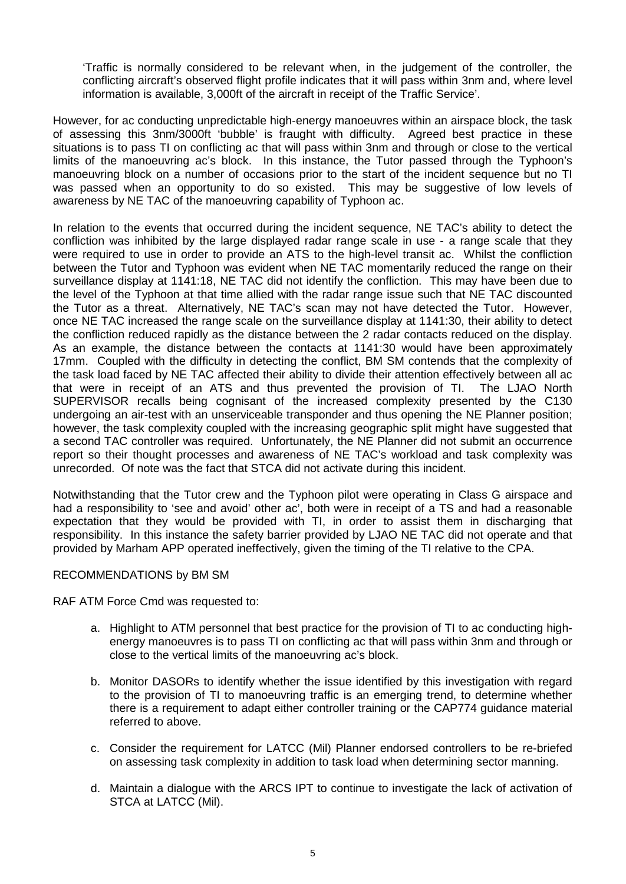'Traffic is normally considered to be relevant when, in the judgement of the controller, the conflicting aircraft's observed flight profile indicates that it will pass within 3nm and, where level information is available, 3,000ft of the aircraft in receipt of the Traffic Service'.

However, for ac conducting unpredictable high-energy manoeuvres within an airspace block, the task of assessing this 3nm/3000ft 'bubble' is fraught with difficulty. Agreed best practice in these situations is to pass TI on conflicting ac that will pass within 3nm and through or close to the vertical limits of the manoeuvring ac's block. In this instance, the Tutor passed through the Typhoon's manoeuvring block on a number of occasions prior to the start of the incident sequence but no TI was passed when an opportunity to do so existed. This may be suggestive of low levels of awareness by NE TAC of the manoeuvring capability of Typhoon ac.

In relation to the events that occurred during the incident sequence, NE TAC's ability to detect the confliction was inhibited by the large displayed radar range scale in use - a range scale that they were required to use in order to provide an ATS to the high-level transit ac. Whilst the confliction between the Tutor and Typhoon was evident when NE TAC momentarily reduced the range on their surveillance display at 1141:18, NE TAC did not identify the confliction. This may have been due to the level of the Typhoon at that time allied with the radar range issue such that NE TAC discounted the Tutor as a threat. Alternatively, NE TAC's scan may not have detected the Tutor. However, once NE TAC increased the range scale on the surveillance display at 1141:30, their ability to detect the confliction reduced rapidly as the distance between the 2 radar contacts reduced on the display. As an example, the distance between the contacts at 1141:30 would have been approximately 17mm. Coupled with the difficulty in detecting the conflict, BM SM contends that the complexity of the task load faced by NE TAC affected their ability to divide their attention effectively between all ac that were in receipt of an ATS and thus prevented the provision of TI. The LJAO North SUPERVISOR recalls being cognisant of the increased complexity presented by the C130 undergoing an air-test with an unserviceable transponder and thus opening the NE Planner position; however, the task complexity coupled with the increasing geographic split might have suggested that a second TAC controller was required. Unfortunately, the NE Planner did not submit an occurrence report so their thought processes and awareness of NE TAC's workload and task complexity was unrecorded. Of note was the fact that STCA did not activate during this incident.

Notwithstanding that the Tutor crew and the Typhoon pilot were operating in Class G airspace and had a responsibility to 'see and avoid' other ac', both were in receipt of a TS and had a reasonable expectation that they would be provided with TI, in order to assist them in discharging that responsibility. In this instance the safety barrier provided by LJAO NE TAC did not operate and that provided by Marham APP operated ineffectively, given the timing of the TI relative to the CPA.

### RECOMMENDATIONS by BM SM

RAF ATM Force Cmd was requested to:

- a. Highlight to ATM personnel that best practice for the provision of TI to ac conducting highenergy manoeuvres is to pass TI on conflicting ac that will pass within 3nm and through or close to the vertical limits of the manoeuvring ac's block.
- b. Monitor DASORs to identify whether the issue identified by this investigation with regard to the provision of TI to manoeuvring traffic is an emerging trend, to determine whether there is a requirement to adapt either controller training or the CAP774 guidance material referred to above.
- c. Consider the requirement for LATCC (Mil) Planner endorsed controllers to be re-briefed on assessing task complexity in addition to task load when determining sector manning.
- d. Maintain a dialogue with the ARCS IPT to continue to investigate the lack of activation of STCA at LATCC (Mil).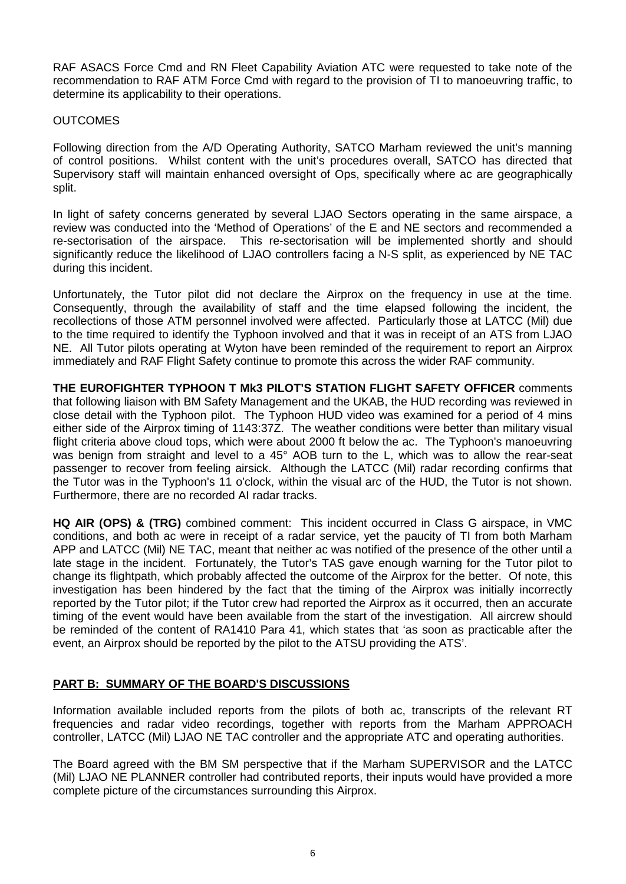RAF ASACS Force Cmd and RN Fleet Capability Aviation ATC were requested to take note of the recommendation to RAF ATM Force Cmd with regard to the provision of TI to manoeuvring traffic, to determine its applicability to their operations.

### **OUTCOMES**

Following direction from the A/D Operating Authority, SATCO Marham reviewed the unit's manning of control positions. Whilst content with the unit's procedures overall, SATCO has directed that Supervisory staff will maintain enhanced oversight of Ops, specifically where ac are geographically split.

In light of safety concerns generated by several LJAO Sectors operating in the same airspace, a review was conducted into the 'Method of Operations' of the E and NE sectors and recommended a re-sectorisation of the airspace. This re-sectorisation will be implemented shortly and should significantly reduce the likelihood of LJAO controllers facing a N-S split, as experienced by NE TAC during this incident.

Unfortunately, the Tutor pilot did not declare the Airprox on the frequency in use at the time. Consequently, through the availability of staff and the time elapsed following the incident, the recollections of those ATM personnel involved were affected. Particularly those at LATCC (Mil) due to the time required to identify the Typhoon involved and that it was in receipt of an ATS from LJAO NE. All Tutor pilots operating at Wyton have been reminded of the requirement to report an Airprox immediately and RAF Flight Safety continue to promote this across the wider RAF community.

**THE EUROFIGHTER TYPHOON T Mk3 PILOT'S STATION FLIGHT SAFETY OFFICER** comments that following liaison with BM Safety Management and the UKAB, the HUD recording was reviewed in close detail with the Typhoon pilot. The Typhoon HUD video was examined for a period of 4 mins either side of the Airprox timing of 1143:37Z. The weather conditions were better than military visual flight criteria above cloud tops, which were about 2000 ft below the ac. The Typhoon's manoeuvring was benign from straight and level to a 45° AOB turn to the L, which was to allow the rear-seat passenger to recover from feeling airsick. Although the LATCC (Mil) radar recording confirms that the Tutor was in the Typhoon's 11 o'clock, within the visual arc of the HUD, the Tutor is not shown. Furthermore, there are no recorded AI radar tracks.

**HQ AIR (OPS) & (TRG)** combined comment: This incident occurred in Class G airspace, in VMC conditions, and both ac were in receipt of a radar service, yet the paucity of TI from both Marham APP and LATCC (Mil) NE TAC, meant that neither ac was notified of the presence of the other until a late stage in the incident. Fortunately, the Tutor's TAS gave enough warning for the Tutor pilot to change its flightpath, which probably affected the outcome of the Airprox for the better. Of note, this investigation has been hindered by the fact that the timing of the Airprox was initially incorrectly reported by the Tutor pilot; if the Tutor crew had reported the Airprox as it occurred, then an accurate timing of the event would have been available from the start of the investigation. All aircrew should be reminded of the content of RA1410 Para 41, which states that 'as soon as practicable after the event, an Airprox should be reported by the pilot to the ATSU providing the ATS'.

### **PART B: SUMMARY OF THE BOARD'S DISCUSSIONS**

Information available included reports from the pilots of both ac, transcripts of the relevant RT frequencies and radar video recordings, together with reports from the Marham APPROACH controller, LATCC (Mil) LJAO NE TAC controller and the appropriate ATC and operating authorities.

The Board agreed with the BM SM perspective that if the Marham SUPERVISOR and the LATCC (Mil) LJAO NE PLANNER controller had contributed reports, their inputs would have provided a more complete picture of the circumstances surrounding this Airprox.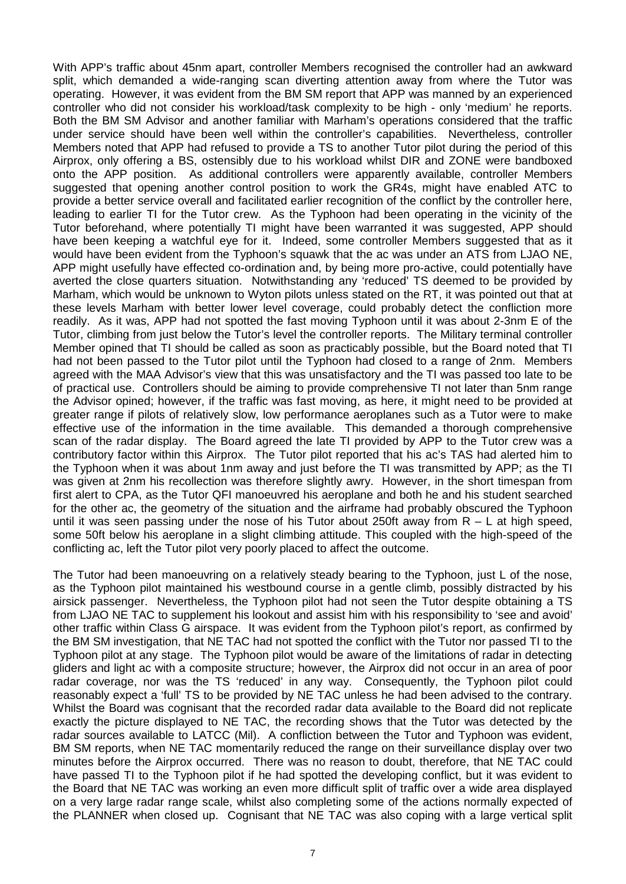With APP's traffic about 45nm apart, controller Members recognised the controller had an awkward split, which demanded a wide-ranging scan diverting attention away from where the Tutor was operating. However, it was evident from the BM SM report that APP was manned by an experienced controller who did not consider his workload/task complexity to be high - only 'medium' he reports. Both the BM SM Advisor and another familiar with Marham's operations considered that the traffic under service should have been well within the controller's capabilities. Nevertheless, controller Members noted that APP had refused to provide a TS to another Tutor pilot during the period of this Airprox, only offering a BS, ostensibly due to his workload whilst DIR and ZONE were bandboxed onto the APP position. As additional controllers were apparently available, controller Members suggested that opening another control position to work the GR4s, might have enabled ATC to provide a better service overall and facilitated earlier recognition of the conflict by the controller here, leading to earlier TI for the Tutor crew. As the Typhoon had been operating in the vicinity of the Tutor beforehand, where potentially TI might have been warranted it was suggested, APP should have been keeping a watchful eye for it. Indeed, some controller Members suggested that as it would have been evident from the Typhoon's squawk that the ac was under an ATS from LJAO NE, APP might usefully have effected co-ordination and, by being more pro-active, could potentially have averted the close quarters situation. Notwithstanding any 'reduced' TS deemed to be provided by Marham, which would be unknown to Wyton pilots unless stated on the RT, it was pointed out that at these levels Marham with better lower level coverage, could probably detect the confliction more readily. As it was, APP had not spotted the fast moving Typhoon until it was about 2-3nm E of the Tutor, climbing from just below the Tutor's level the controller reports. The Military terminal controller Member opined that TI should be called as soon as practicably possible, but the Board noted that TI had not been passed to the Tutor pilot until the Typhoon had closed to a range of 2nm. Members agreed with the MAA Advisor's view that this was unsatisfactory and the TI was passed too late to be of practical use. Controllers should be aiming to provide comprehensive TI not later than 5nm range the Advisor opined; however, if the traffic was fast moving, as here, it might need to be provided at greater range if pilots of relatively slow, low performance aeroplanes such as a Tutor were to make effective use of the information in the time available. This demanded a thorough comprehensive scan of the radar display. The Board agreed the late TI provided by APP to the Tutor crew was a contributory factor within this Airprox. The Tutor pilot reported that his ac's TAS had alerted him to the Typhoon when it was about 1nm away and just before the TI was transmitted by APP; as the TI was given at 2nm his recollection was therefore slightly awry. However, in the short timespan from first alert to CPA, as the Tutor QFI manoeuvred his aeroplane and both he and his student searched for the other ac, the geometry of the situation and the airframe had probably obscured the Typhoon until it was seen passing under the nose of his Tutor about 250ft away from  $R - L$  at high speed, some 50ft below his aeroplane in a slight climbing attitude. This coupled with the high-speed of the conflicting ac, left the Tutor pilot very poorly placed to affect the outcome.

The Tutor had been manoeuvring on a relatively steady bearing to the Typhoon, just L of the nose, as the Typhoon pilot maintained his westbound course in a gentle climb, possibly distracted by his airsick passenger. Nevertheless, the Typhoon pilot had not seen the Tutor despite obtaining a TS from LJAO NE TAC to supplement his lookout and assist him with his responsibility to 'see and avoid' other traffic within Class G airspace. It was evident from the Typhoon pilot's report, as confirmed by the BM SM investigation, that NE TAC had not spotted the conflict with the Tutor nor passed TI to the Typhoon pilot at any stage. The Typhoon pilot would be aware of the limitations of radar in detecting gliders and light ac with a composite structure; however, the Airprox did not occur in an area of poor radar coverage, nor was the TS 'reduced' in any way. Consequently, the Typhoon pilot could reasonably expect a 'full' TS to be provided by NE TAC unless he had been advised to the contrary. Whilst the Board was cognisant that the recorded radar data available to the Board did not replicate exactly the picture displayed to NE TAC, the recording shows that the Tutor was detected by the radar sources available to LATCC (Mil). A confliction between the Tutor and Typhoon was evident, BM SM reports, when NE TAC momentarily reduced the range on their surveillance display over two minutes before the Airprox occurred. There was no reason to doubt, therefore, that NE TAC could have passed TI to the Typhoon pilot if he had spotted the developing conflict, but it was evident to the Board that NE TAC was working an even more difficult split of traffic over a wide area displayed on a very large radar range scale, whilst also completing some of the actions normally expected of the PLANNER when closed up. Cognisant that NE TAC was also coping with a large vertical split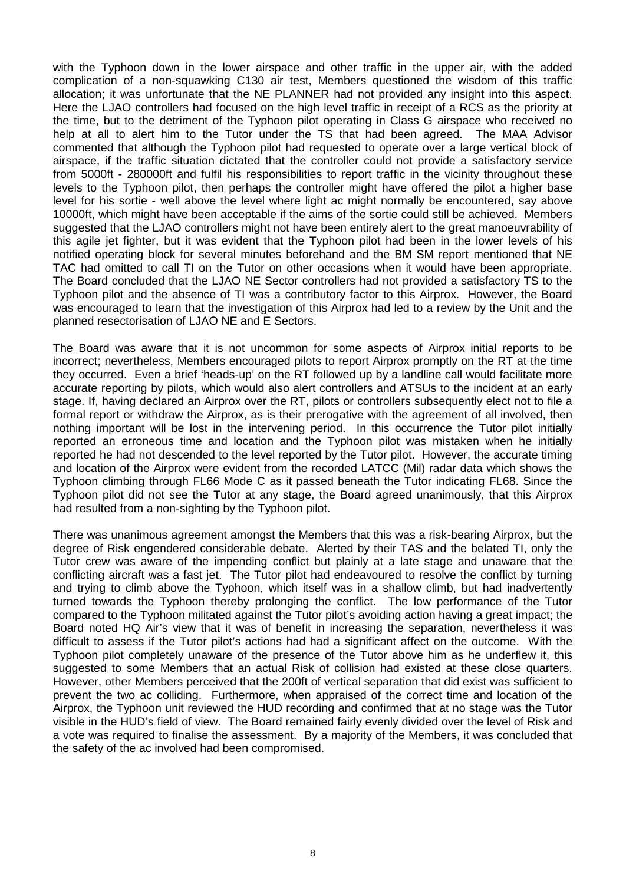with the Typhoon down in the lower airspace and other traffic in the upper air, with the added complication of a non-squawking C130 air test, Members questioned the wisdom of this traffic allocation; it was unfortunate that the NE PLANNER had not provided any insight into this aspect. Here the LJAO controllers had focused on the high level traffic in receipt of a RCS as the priority at the time, but to the detriment of the Typhoon pilot operating in Class G airspace who received no help at all to alert him to the Tutor under the TS that had been agreed. The MAA Advisor commented that although the Typhoon pilot had requested to operate over a large vertical block of airspace, if the traffic situation dictated that the controller could not provide a satisfactory service from 5000ft - 280000ft and fulfil his responsibilities to report traffic in the vicinity throughout these levels to the Typhoon pilot, then perhaps the controller might have offered the pilot a higher base level for his sortie - well above the level where light ac might normally be encountered, say above 10000ft, which might have been acceptable if the aims of the sortie could still be achieved. Members suggested that the LJAO controllers might not have been entirely alert to the great manoeuvrability of this agile jet fighter, but it was evident that the Typhoon pilot had been in the lower levels of his notified operating block for several minutes beforehand and the BM SM report mentioned that NE TAC had omitted to call TI on the Tutor on other occasions when it would have been appropriate. The Board concluded that the LJAO NE Sector controllers had not provided a satisfactory TS to the Typhoon pilot and the absence of TI was a contributory factor to this Airprox. However, the Board was encouraged to learn that the investigation of this Airprox had led to a review by the Unit and the planned resectorisation of LJAO NE and E Sectors.

The Board was aware that it is not uncommon for some aspects of Airprox initial reports to be incorrect; nevertheless, Members encouraged pilots to report Airprox promptly on the RT at the time they occurred. Even a brief 'heads-up' on the RT followed up by a landline call would facilitate more accurate reporting by pilots, which would also alert controllers and ATSUs to the incident at an early stage. If, having declared an Airprox over the RT, pilots or controllers subsequently elect not to file a formal report or withdraw the Airprox, as is their prerogative with the agreement of all involved, then nothing important will be lost in the intervening period. In this occurrence the Tutor pilot initially reported an erroneous time and location and the Typhoon pilot was mistaken when he initially reported he had not descended to the level reported by the Tutor pilot. However, the accurate timing and location of the Airprox were evident from the recorded LATCC (Mil) radar data which shows the Typhoon climbing through FL66 Mode C as it passed beneath the Tutor indicating FL68. Since the Typhoon pilot did not see the Tutor at any stage, the Board agreed unanimously, that this Airprox had resulted from a non-sighting by the Typhoon pilot.

There was unanimous agreement amongst the Members that this was a risk-bearing Airprox, but the degree of Risk engendered considerable debate. Alerted by their TAS and the belated TI, only the Tutor crew was aware of the impending conflict but plainly at a late stage and unaware that the conflicting aircraft was a fast jet. The Tutor pilot had endeavoured to resolve the conflict by turning and trying to climb above the Typhoon, which itself was in a shallow climb, but had inadvertently turned towards the Typhoon thereby prolonging the conflict. The low performance of the Tutor compared to the Typhoon militated against the Tutor pilot's avoiding action having a great impact; the Board noted HQ Air's view that it was of benefit in increasing the separation, nevertheless it was difficult to assess if the Tutor pilot's actions had had a significant affect on the outcome. With the Typhoon pilot completely unaware of the presence of the Tutor above him as he underflew it, this suggested to some Members that an actual Risk of collision had existed at these close quarters. However, other Members perceived that the 200ft of vertical separation that did exist was sufficient to prevent the two ac colliding. Furthermore, when appraised of the correct time and location of the Airprox, the Typhoon unit reviewed the HUD recording and confirmed that at no stage was the Tutor visible in the HUD's field of view. The Board remained fairly evenly divided over the level of Risk and a vote was required to finalise the assessment. By a majority of the Members, it was concluded that the safety of the ac involved had been compromised.